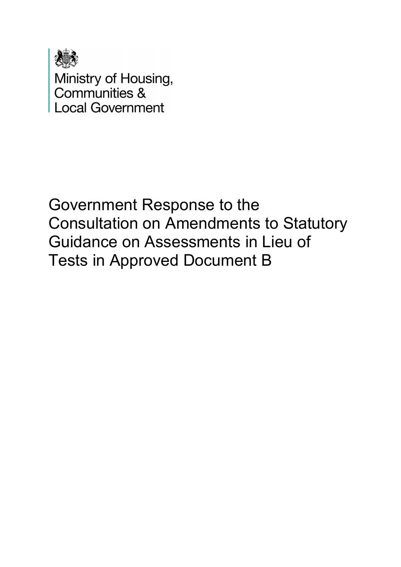

Ministry of Housing,<br>Communities & **Local Government** 

Government Response to the Consultation on Amendments to Statutory Guidance on Assessments in Lieu of Tests in Approved Document B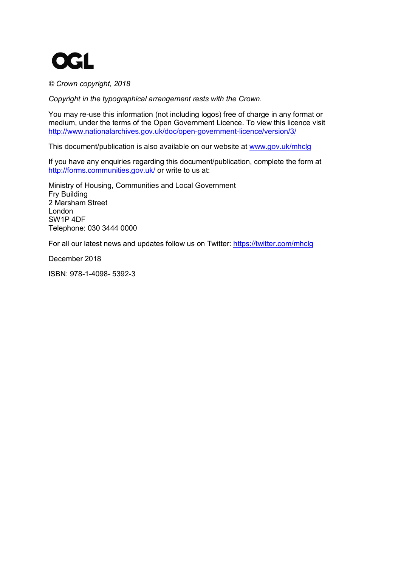

*© Crown copyright, 2018*

*Copyright in the typographical arrangement rests with the Crown.*

You may re-use this information (not including logos) free of charge in any format or medium, under the terms of the Open Government Licence. To view this licence visit <http://www.nationalarchives.gov.uk/doc/open-government-licence/version/3/>

This document/publication is also available on our website at [www.gov.uk/mhclg](http://www.gov.uk/mhclg)

If you have any enquiries regarding this document/publication, complete the form at <http://forms.communities.gov.uk/> or write to us at:

Ministry of Housing, Communities and Local Government Fry Building 2 Marsham Street London SW1P 4DF Telephone: 030 3444 0000

For all our latest news and updates follow us on Twitter:<https://twitter.com/mhclg>

December 2018

ISBN: 978-1-4098- 5392-3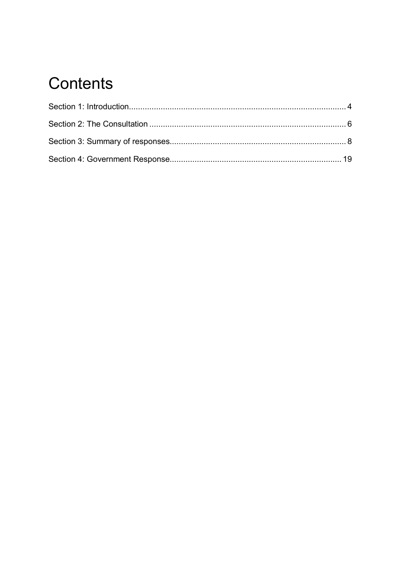# Contents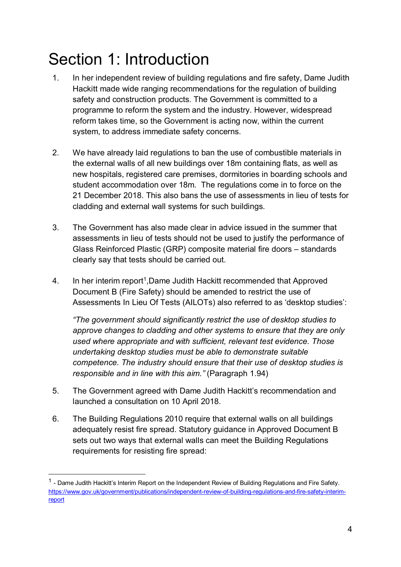# <span id="page-3-0"></span>Section 1: Introduction

- 1. In her independent review of building regulations and fire safety, Dame Judith Hackitt made wide ranging recommendations for the regulation of building safety and construction products. The Government is committed to a programme to reform the system and the industry. However, widespread reform takes time, so the Government is acting now, within the current system, to address immediate safety concerns.
- 2. We have already laid regulations to ban the use of combustible materials in the external walls of all new buildings over 18m containing flats, as well as new hospitals, registered care premises, dormitories in boarding schools and student accommodation over 18m. The regulations come in to force on the 21 December 2018. This also bans the use of assessments in lieu of tests for cladding and external wall systems for such buildings.
- 3. The Government has also made clear in advice issued in the summer that assessments in lieu of tests should not be used to justify the performance of Glass Reinforced Plastic (GRP) composite material fire doors – standards clearly say that tests should be carried out.
- 4. In her interim report<sup>1</sup>, Dame Judith Hackitt recommended that Approved Document B (Fire Safety) should be amended to restrict the use of Assessments In Lieu Of Tests (AILOTs) also referred to as 'desktop studies':

*"The government should significantly restrict the use of desktop studies to approve changes to cladding and other systems to ensure that they are only used where appropriate and with sufficient, relevant test evidence. Those undertaking desktop studies must be able to demonstrate suitable competence. The industry should ensure that their use of desktop studies is responsible and in line with this aim."* (Paragraph 1.94)

- 5. The Government agreed with Dame Judith Hackitt's recommendation and launched a consultation on 10 April 2018.
- 6. The Building Regulations 2010 require that external walls on all buildings adequately resist fire spread. Statutory guidance in Approved Document B sets out two ways that external walls can meet the Building Regulations requirements for resisting fire spread:

<span id="page-3-1"></span><sup>&</sup>lt;sup>1</sup> - Dame Judith Hackitt's Interim Report on the Independent Review of Building Regulations and Fire Safety. [https://www.gov.uk/government/publications/independent-review-of-building-regulations-and-fire-safety-interim](https://www.gov.uk/government/publications/independent-review-of-building-regulations-and-fire-safety-interim-report)[report](https://www.gov.uk/government/publications/independent-review-of-building-regulations-and-fire-safety-interim-report)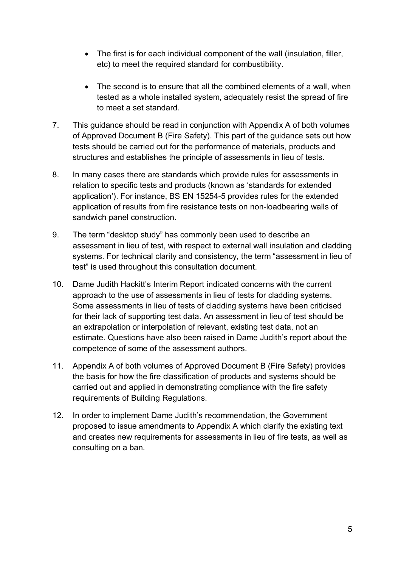- The first is for each individual component of the wall (insulation, filler, etc) to meet the required standard for combustibility.
- The second is to ensure that all the combined elements of a wall, when tested as a whole installed system, adequately resist the spread of fire to meet a set standard.
- 7. This guidance should be read in conjunction with Appendix A of both volumes of Approved Document B (Fire Safety). This part of the guidance sets out how tests should be carried out for the performance of materials, products and structures and establishes the principle of assessments in lieu of tests.
- 8. In many cases there are standards which provide rules for assessments in relation to specific tests and products (known as 'standards for extended application'). For instance, BS EN 15254-5 provides rules for the extended application of results from fire resistance tests on non-loadbearing walls of sandwich panel construction.
- 9. The term "desktop study" has commonly been used to describe an assessment in lieu of test, with respect to external wall insulation and cladding systems. For technical clarity and consistency, the term "assessment in lieu of test" is used throughout this consultation document.
- 10. Dame Judith Hackitt's Interim Report indicated concerns with the current approach to the use of assessments in lieu of tests for cladding systems. Some assessments in lieu of tests of cladding systems have been criticised for their lack of supporting test data. An assessment in lieu of test should be an extrapolation or interpolation of relevant, existing test data, not an estimate. Questions have also been raised in Dame Judith's report about the competence of some of the assessment authors.
- 11. Appendix A of both volumes of Approved Document B (Fire Safety) provides the basis for how the fire classification of products and systems should be carried out and applied in demonstrating compliance with the fire safety requirements of Building Regulations.
- 12. In order to implement Dame Judith's recommendation, the Government proposed to issue amendments to Appendix A which clarify the existing text and creates new requirements for assessments in lieu of fire tests, as well as consulting on a ban.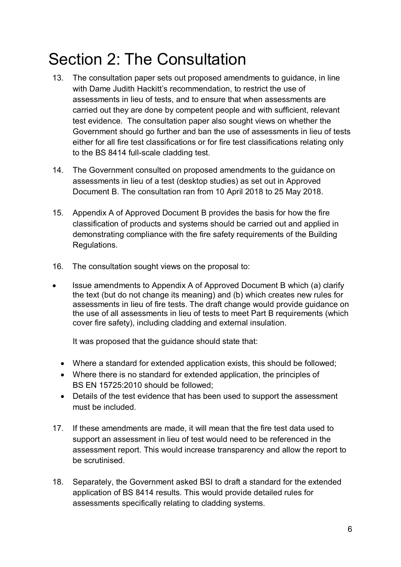# <span id="page-5-0"></span>Section 2: The Consultation

- 13. The consultation paper sets out proposed amendments to guidance, in line with Dame Judith Hackitt's recommendation, to restrict the use of assessments in lieu of tests, and to ensure that when assessments are carried out they are done by competent people and with sufficient, relevant test evidence. The consultation paper also sought views on whether the Government should go further and ban the use of assessments in lieu of tests either for all fire test classifications or for fire test classifications relating only to the BS 8414 full-scale cladding test.
- 14. The Government consulted on proposed amendments to the guidance on assessments in lieu of a test (desktop studies) as set out in Approved Document B. The consultation ran from 10 April 2018 to 25 May 2018.
- 15. Appendix A of Approved Document B provides the basis for how the fire classification of products and systems should be carried out and applied in demonstrating compliance with the fire safety requirements of the Building Regulations.
- 16. The consultation sought views on the proposal to:
- Issue amendments to Appendix A of Approved Document B which (a) clarify the text (but do not change its meaning) and (b) which creates new rules for assessments in lieu of fire tests. The draft change would provide guidance on the use of all assessments in lieu of tests to meet Part B requirements (which cover fire safety), including cladding and external insulation.

It was proposed that the guidance should state that:

- Where a standard for extended application exists, this should be followed;
- Where there is no standard for extended application, the principles of BS EN 15725:2010 should be followed;
- Details of the test evidence that has been used to support the assessment must be included.
- 17. If these amendments are made, it will mean that the fire test data used to support an assessment in lieu of test would need to be referenced in the assessment report. This would increase transparency and allow the report to be scrutinised.
- 18. Separately, the Government asked BSI to draft a standard for the extended application of BS 8414 results. This would provide detailed rules for assessments specifically relating to cladding systems.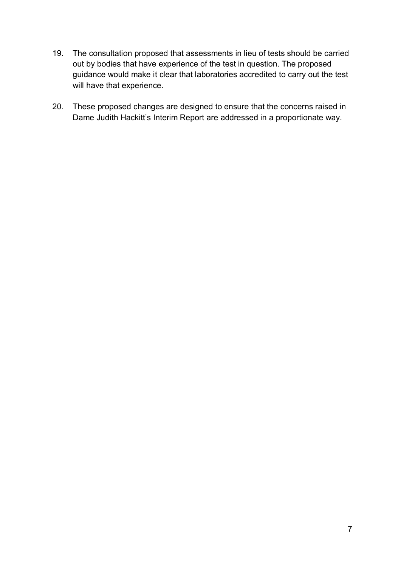- 19. The consultation proposed that assessments in lieu of tests should be carried out by bodies that have experience of the test in question. The proposed guidance would make it clear that laboratories accredited to carry out the test will have that experience.
- 20. These proposed changes are designed to ensure that the concerns raised in Dame Judith Hackitt's Interim Report are addressed in a proportionate way.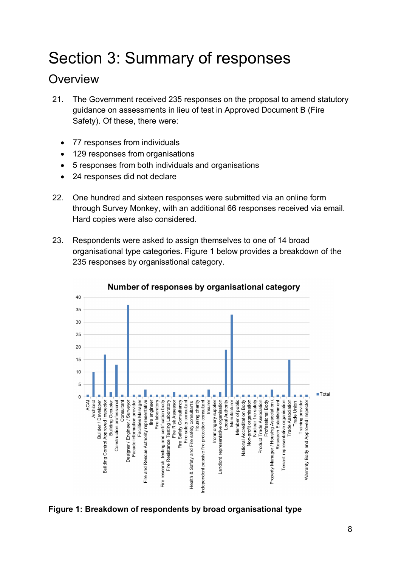# <span id="page-7-0"></span>Section 3: Summary of responses

# **Overview**

- 21. The Government received 235 responses on the proposal to amend statutory guidance on assessments in lieu of test in Approved Document B (Fire Safety). Of these, there were:
	- 77 responses from individuals
	- 129 responses from organisations
	- 5 responses from both individuals and organisations
	- 24 responses did not declare
- 22. One hundred and sixteen responses were submitted via an online form through Survey Monkey, with an additional 66 responses received via email. Hard copies were also considered.
- 23. Respondents were asked to assign themselves to one of 14 broad organisational type categories. Figure 1 below provides a breakdown of the 235 responses by organisational category.



### Number of responses by organisational category

### **Figure 1: Breakdown of respondents by broad organisational type**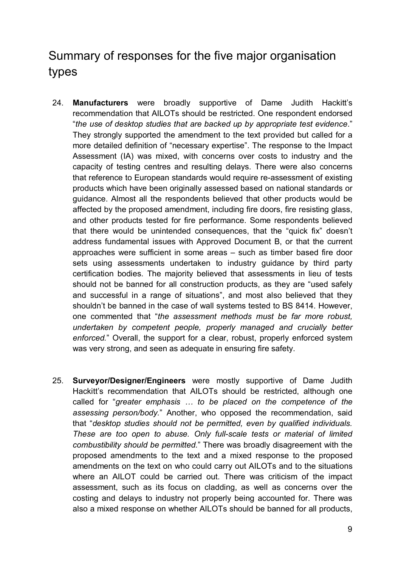# Summary of responses for the five major organisation types

- 24. **Manufacturers** were broadly supportive of Dame Judith Hackitt's recommendation that AILOTs should be restricted. One respondent endorsed "*the use of desktop studies that are backed up by appropriate test evidence*." They strongly supported the amendment to the text provided but called for a more detailed definition of "necessary expertise". The response to the Impact Assessment (IA) was mixed, with concerns over costs to industry and the capacity of testing centres and resulting delays. There were also concerns that reference to European standards would require re-assessment of existing products which have been originally assessed based on national standards or guidance. Almost all the respondents believed that other products would be affected by the proposed amendment, including fire doors, fire resisting glass, and other products tested for fire performance. Some respondents believed that there would be unintended consequences, that the "quick fix" doesn't address fundamental issues with Approved Document B, or that the current approaches were sufficient in some areas – such as timber based fire door sets using assessments undertaken to industry guidance by third party certification bodies. The majority believed that assessments in lieu of tests should not be banned for all construction products, as they are "used safely and successful in a range of situations", and most also believed that they shouldn't be banned in the case of wall systems tested to BS 8414. However, one commented that "*the assessment methods must be far more robust, undertaken by competent people, properly managed and crucially better enforced.*" Overall, the support for a clear, robust, properly enforced system was very strong, and seen as adequate in ensuring fire safety.
- 25. **Surveyor/Designer/Engineers** were mostly supportive of Dame Judith Hackitt's recommendation that AILOTs should be restricted, although one called for "*greater emphasis … to be placed on the competence of the assessing person/body.*" Another, who opposed the recommendation, said that "*desktop studies should not be permitted, even by qualified individuals. These are too open to abuse. Only full-scale tests or material of limited combustibility should be permitted.*" There was broadly disagreement with the proposed amendments to the text and a mixed response to the proposed amendments on the text on who could carry out AILOTs and to the situations where an AILOT could be carried out. There was criticism of the impact assessment, such as its focus on cladding, as well as concerns over the costing and delays to industry not properly being accounted for. There was also a mixed response on whether AILOTs should be banned for all products,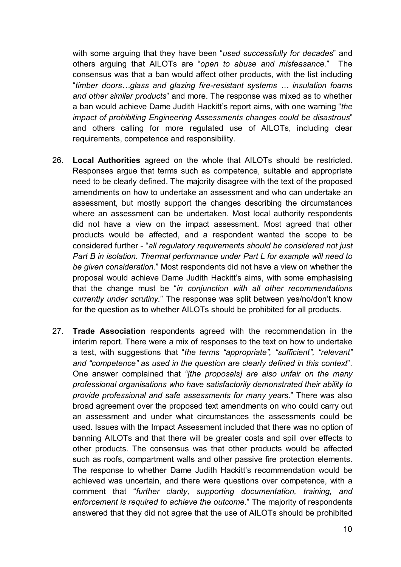with some arguing that they have been "*used successfully for decades*" and others arguing that AILOTs are "*open to abuse and misfeasance.*" The consensus was that a ban would affect other products, with the list including "*timber doors…glass and glazing fire-resistant systems … insulation foams and other similar products*" and more. The response was mixed as to whether a ban would achieve Dame Judith Hackitt's report aims, with one warning "*the impact of prohibiting Engineering Assessments changes could be disastrous*" and others calling for more regulated use of AILOTs, including clear requirements, competence and responsibility.

- 26. **Local Authorities** agreed on the whole that AILOTs should be restricted. Responses argue that terms such as competence, suitable and appropriate need to be clearly defined. The majority disagree with the text of the proposed amendments on how to undertake an assessment and who can undertake an assessment, but mostly support the changes describing the circumstances where an assessment can be undertaken. Most local authority respondents did not have a view on the impact assessment. Most agreed that other products would be affected, and a respondent wanted the scope to be considered further - "*all regulatory requirements should be considered not just Part B in isolation. Thermal performance under Part L for example will need to be given consideration.*" Most respondents did not have a view on whether the proposal would achieve Dame Judith Hackitt's aims, with some emphasising that the change must be "*in conjunction with all other recommendations currently under scrutiny.*" The response was split between yes/no/don't know for the question as to whether AILOTs should be prohibited for all products.
- 27. **Trade Association** respondents agreed with the recommendation in the interim report. There were a mix of responses to the text on how to undertake a test, with suggestions that "*the terms "appropriate", "sufficient", "relevant" and "competence" as used in the question are clearly defined in this context*". One answer complained that *"[the proposals] are also unfair on the many professional organisations who have satisfactorily demonstrated their ability to provide professional and safe assessments for many years.*" There was also broad agreement over the proposed text amendments on who could carry out an assessment and under what circumstances the assessments could be used. Issues with the Impact Assessment included that there was no option of banning AILOTs and that there will be greater costs and spill over effects to other products. The consensus was that other products would be affected such as roofs, compartment walls and other passive fire protection elements. The response to whether Dame Judith Hackitt's recommendation would be achieved was uncertain, and there were questions over competence, with a comment that "*further clarity, supporting documentation, training, and enforcement is required to achieve the outcome.*" The majority of respondents answered that they did not agree that the use of AILOTs should be prohibited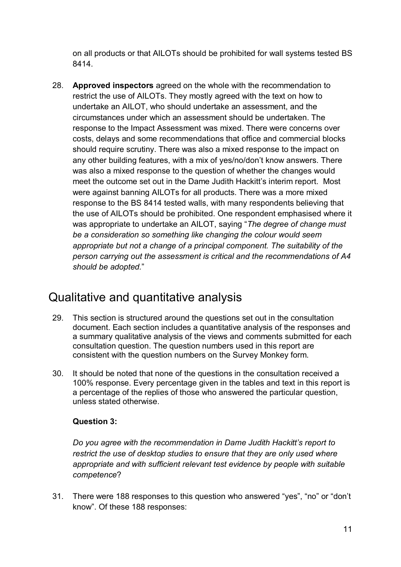on all products or that AILOTs should be prohibited for wall systems tested BS 8414.

28. **Approved inspectors** agreed on the whole with the recommendation to restrict the use of AILOTs. They mostly agreed with the text on how to undertake an AILOT, who should undertake an assessment, and the circumstances under which an assessment should be undertaken. The response to the Impact Assessment was mixed. There were concerns over costs, delays and some recommendations that office and commercial blocks should require scrutiny. There was also a mixed response to the impact on any other building features, with a mix of yes/no/don't know answers. There was also a mixed response to the question of whether the changes would meet the outcome set out in the Dame Judith Hackitt's interim report. Most were against banning AILOTs for all products. There was a more mixed response to the BS 8414 tested walls, with many respondents believing that the use of AILOTs should be prohibited. One respondent emphasised where it was appropriate to undertake an AILOT, saying "*The degree of change must be a consideration so something like changing the colour would seem appropriate but not a change of a principal component. The suitability of the person carrying out the assessment is critical and the recommendations of A4 should be adopted.*"

# Qualitative and quantitative analysis

- 29. This section is structured around the questions set out in the consultation document. Each section includes a quantitative analysis of the responses and a summary qualitative analysis of the views and comments submitted for each consultation question. The question numbers used in this report are consistent with the question numbers on the Survey Monkey form.
- 30. It should be noted that none of the questions in the consultation received a 100% response. Every percentage given in the tables and text in this report is a percentage of the replies of those who answered the particular question, unless stated otherwise.

### **Question 3:**

*Do you agree with the recommendation in Dame Judith Hackitt's report to restrict the use of desktop studies to ensure that they are only used where appropriate and with sufficient relevant test evidence by people with suitable competence*?

31. There were 188 responses to this question who answered "yes", "no" or "don't know". Of these 188 responses: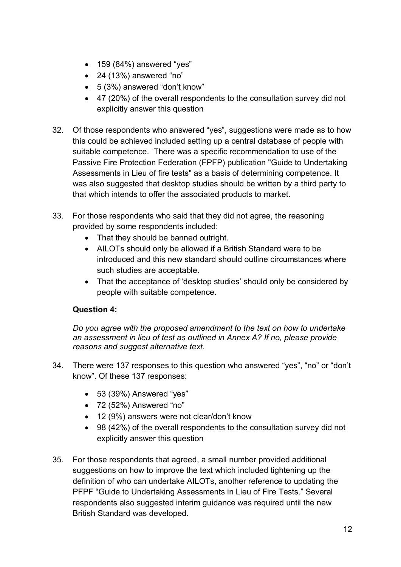- 159 (84%) answered "yes"
- 24 (13%) answered "no"
- 5 (3%) answered "don't know"
- 47 (20%) of the overall respondents to the consultation survey did not explicitly answer this question
- 32. Of those respondents who answered "yes", suggestions were made as to how this could be achieved included setting up a central database of people with suitable competence. There was a specific recommendation to use of the Passive Fire Protection Federation (FPFP) publication "Guide to Undertaking Assessments in Lieu of fire tests" as a basis of determining competence. It was also suggested that desktop studies should be written by a third party to that which intends to offer the associated products to market.
- 33. For those respondents who said that they did not agree, the reasoning provided by some respondents included:
	- That they should be banned outright.
	- AILOTs should only be allowed if a British Standard were to be introduced and this new standard should outline circumstances where such studies are acceptable.
	- That the acceptance of 'desktop studies' should only be considered by people with suitable competence.

# **Question 4:**

*Do you agree with the proposed amendment to the text on how to undertake an assessment in lieu of test as outlined in Annex A? If no, please provide reasons and suggest alternative text.*

- 34. There were 137 responses to this question who answered "yes", "no" or "don't know". Of these 137 responses:
	- 53 (39%) Answered "yes"
	- 72 (52%) Answered "no"
	- 12 (9%) answers were not clear/don't know
	- 98 (42%) of the overall respondents to the consultation survey did not explicitly answer this question
- 35. For those respondents that agreed, a small number provided additional suggestions on how to improve the text which included tightening up the definition of who can undertake AILOTs, another reference to updating the PFPF "Guide to Undertaking Assessments in Lieu of Fire Tests." Several respondents also suggested interim guidance was required until the new British Standard was developed.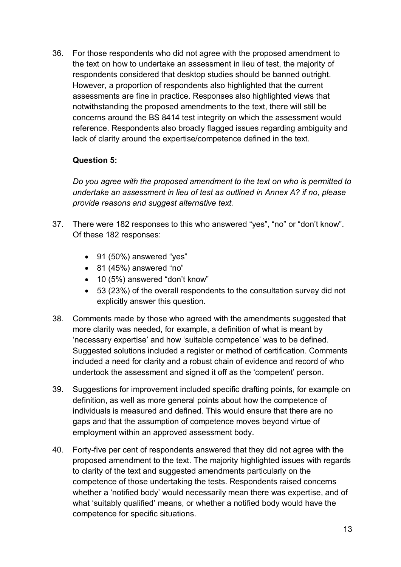36. For those respondents who did not agree with the proposed amendment to the text on how to undertake an assessment in lieu of test, the majority of respondents considered that desktop studies should be banned outright. However, a proportion of respondents also highlighted that the current assessments are fine in practice. Responses also highlighted views that notwithstanding the proposed amendments to the text, there will still be concerns around the BS 8414 test integrity on which the assessment would reference. Respondents also broadly flagged issues regarding ambiguity and lack of clarity around the expertise/competence defined in the text.

## **Question 5:**

*Do you agree with the proposed amendment to the text on who is permitted to undertake an assessment in lieu of test as outlined in Annex A? if no, please provide reasons and suggest alternative text.*

- 37. There were 182 responses to this who answered "yes", "no" or "don't know". Of these 182 responses:
	- 91 (50%) answered "yes"
	- $\bullet$  81 (45%) answered "no"
	- 10 (5%) answered "don't know"
	- 53 (23%) of the overall respondents to the consultation survey did not explicitly answer this question.
- 38. Comments made by those who agreed with the amendments suggested that more clarity was needed, for example, a definition of what is meant by 'necessary expertise' and how 'suitable competence' was to be defined. Suggested solutions included a register or method of certification. Comments included a need for clarity and a robust chain of evidence and record of who undertook the assessment and signed it off as the 'competent' person.
- 39. Suggestions for improvement included specific drafting points, for example on definition, as well as more general points about how the competence of individuals is measured and defined. This would ensure that there are no gaps and that the assumption of competence moves beyond virtue of employment within an approved assessment body.
- 40. Forty-five per cent of respondents answered that they did not agree with the proposed amendment to the text. The majority highlighted issues with regards to clarity of the text and suggested amendments particularly on the competence of those undertaking the tests. Respondents raised concerns whether a 'notified body' would necessarily mean there was expertise, and of what 'suitably qualified' means, or whether a notified body would have the competence for specific situations.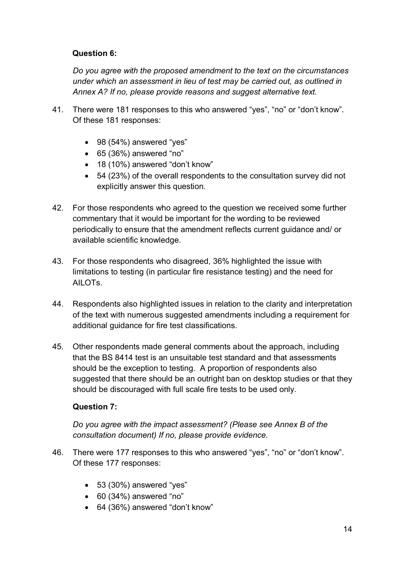## **Question 6:**

*Do you agree with the proposed amendment to the text on the circumstances under which an assessment in lieu of test may be carried out, as outlined in Annex A? If no, please provide reasons and suggest alternative text.*

- 41. There were 181 responses to this who answered "yes", "no" or "don't know". Of these 181 responses:
	- 98 (54%) answered "yes"
	- 65 (36%) answered "no"
	- 18 (10%) answered "don't know"
	- 54 (23%) of the overall respondents to the consultation survey did not explicitly answer this question.
- 42. For those respondents who agreed to the question we received some further commentary that it would be important for the wording to be reviewed periodically to ensure that the amendment reflects current guidance and/ or available scientific knowledge.
- 43. For those respondents who disagreed, 36% highlighted the issue with limitations to testing (in particular fire resistance testing) and the need for AILOTs.
- 44. Respondents also highlighted issues in relation to the clarity and interpretation of the text with numerous suggested amendments including a requirement for additional guidance for fire test classifications.
- 45. Other respondents made general comments about the approach, including that the BS 8414 test is an unsuitable test standard and that assessments should be the exception to testing. A proportion of respondents also suggested that there should be an outright ban on desktop studies or that they should be discouraged with full scale fire tests to be used only.

### **Question 7:**

*Do you agree with the impact assessment? (Please see Annex B of the consultation document) If no, please provide evidence.*

- 46. There were 177 responses to this who answered "yes", "no" or "don't know". Of these 177 responses:
	- 53 (30%) answered "yes"
	- 60 (34%) answered "no"
	- 64 (36%) answered "don't know"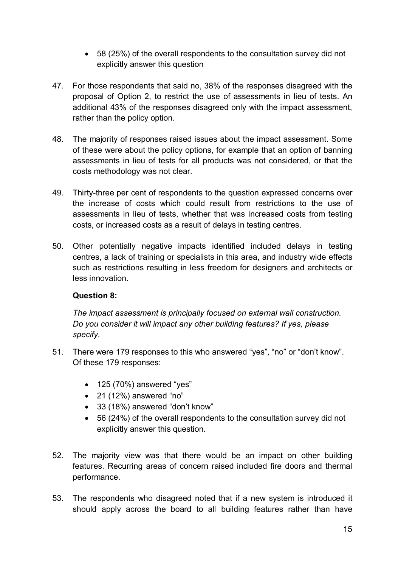- 58 (25%) of the overall respondents to the consultation survey did not explicitly answer this question
- 47. For those respondents that said no, 38% of the responses disagreed with the proposal of Option 2, to restrict the use of assessments in lieu of tests. An additional 43% of the responses disagreed only with the impact assessment, rather than the policy option.
- 48. The majority of responses raised issues about the impact assessment. Some of these were about the policy options, for example that an option of banning assessments in lieu of tests for all products was not considered, or that the costs methodology was not clear.
- 49. Thirty-three per cent of respondents to the question expressed concerns over the increase of costs which could result from restrictions to the use of assessments in lieu of tests, whether that was increased costs from testing costs, or increased costs as a result of delays in testing centres.
- 50. Other potentially negative impacts identified included delays in testing centres, a lack of training or specialists in this area, and industry wide effects such as restrictions resulting in less freedom for designers and architects or less innovation.

### **Question 8:**

*The impact assessment is principally focused on external wall construction. Do you consider it will impact any other building features? If yes, please specify*.

- 51. There were 179 responses to this who answered "yes", "no" or "don't know". Of these 179 responses:
	- 125 (70%) answered "yes"
	- $\bullet$  21 (12%) answered "no"
	- 33 (18%) answered "don't know"
	- 56 (24%) of the overall respondents to the consultation survey did not explicitly answer this question.
- 52. The majority view was that there would be an impact on other building features. Recurring areas of concern raised included fire doors and thermal performance.
- 53. The respondents who disagreed noted that if a new system is introduced it should apply across the board to all building features rather than have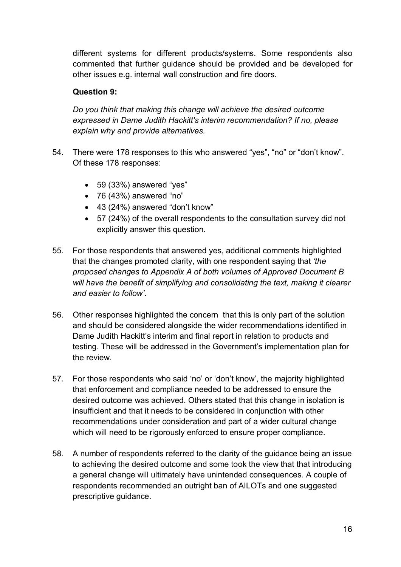different systems for different products/systems. Some respondents also commented that further guidance should be provided and be developed for other issues e.g. internal wall construction and fire doors.

### **Question 9:**

*Do you think that making this change will achieve the desired outcome expressed in Dame Judith Hackitt's interim recommendation? If no, please explain why and provide alternatives.*

- 54. There were 178 responses to this who answered "yes", "no" or "don't know". Of these 178 responses:
	- 59 (33%) answered "yes"
	- $\bullet$  76 (43%) answered "no"
	- 43 (24%) answered "don't know"
	- 57 (24%) of the overall respondents to the consultation survey did not explicitly answer this question.
- 55. For those respondents that answered yes, additional comments highlighted that the changes promoted clarity, with one respondent saying that *'the proposed changes to Appendix A of both volumes of Approved Document B will have the benefit of simplifying and consolidating the text, making it clearer and easier to follow'*.
- 56. Other responses highlighted the concern that this is only part of the solution and should be considered alongside the wider recommendations identified in Dame Judith Hackitt's interim and final report in relation to products and testing. These will be addressed in the Government's implementation plan for the review.
- 57. For those respondents who said 'no' or 'don't know', the majority highlighted that enforcement and compliance needed to be addressed to ensure the desired outcome was achieved. Others stated that this change in isolation is insufficient and that it needs to be considered in conjunction with other recommendations under consideration and part of a wider cultural change which will need to be rigorously enforced to ensure proper compliance.
- 58. A number of respondents referred to the clarity of the guidance being an issue to achieving the desired outcome and some took the view that that introducing a general change will ultimately have unintended consequences. A couple of respondents recommended an outright ban of AILOTs and one suggested prescriptive guidance.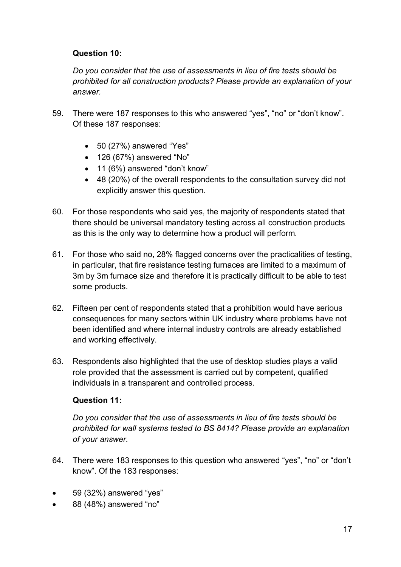## **Question 10:**

*Do you consider that the use of assessments in lieu of fire tests should be prohibited for all construction products? Please provide an explanation of your answer.*

- 59. There were 187 responses to this who answered "yes", "no" or "don't know". Of these 187 responses:
	- 50 (27%) answered "Yes"
	- 126 (67%) answered "No"
	- 11 (6%) answered "don't know"
	- 48 (20%) of the overall respondents to the consultation survey did not explicitly answer this question.
- 60. For those respondents who said yes, the majority of respondents stated that there should be universal mandatory testing across all construction products as this is the only way to determine how a product will perform.
- 61. For those who said no, 28% flagged concerns over the practicalities of testing, in particular, that fire resistance testing furnaces are limited to a maximum of 3m by 3m furnace size and therefore it is practically difficult to be able to test some products.
- 62. Fifteen per cent of respondents stated that a prohibition would have serious consequences for many sectors within UK industry where problems have not been identified and where internal industry controls are already established and working effectively.
- 63. Respondents also highlighted that the use of desktop studies plays a valid role provided that the assessment is carried out by competent, qualified individuals in a transparent and controlled process.

# **Question 11:**

*Do you consider that the use of assessments in lieu of fire tests should be prohibited for wall systems tested to BS 8414? Please provide an explanation of your answer.*

- 64. There were 183 responses to this question who answered "yes", "no" or "don't know". Of the 183 responses:
- 59 (32%) answered "yes"
- 88 (48%) answered "no"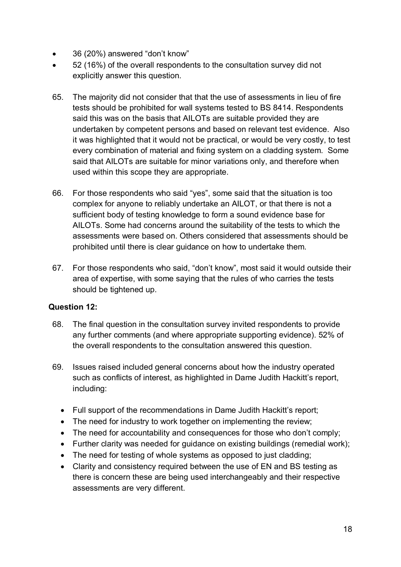- 36 (20%) answered "don't know"
- 52 (16%) of the overall respondents to the consultation survey did not explicitly answer this question.
- 65. The majority did not consider that that the use of assessments in lieu of fire tests should be prohibited for wall systems tested to BS 8414. Respondents said this was on the basis that AILOTs are suitable provided they are undertaken by competent persons and based on relevant test evidence. Also it was highlighted that it would not be practical, or would be very costly, to test every combination of material and fixing system on a cladding system. Some said that AILOTs are suitable for minor variations only, and therefore when used within this scope they are appropriate.
- 66. For those respondents who said "yes", some said that the situation is too complex for anyone to reliably undertake an AILOT, or that there is not a sufficient body of testing knowledge to form a sound evidence base for AILOTs. Some had concerns around the suitability of the tests to which the assessments were based on. Others considered that assessments should be prohibited until there is clear guidance on how to undertake them.
- 67. For those respondents who said, "don't know", most said it would outside their area of expertise, with some saying that the rules of who carries the tests should be tightened up.

### **Question 12:**

- 68. The final question in the consultation survey invited respondents to provide any further comments (and where appropriate supporting evidence). 52% of the overall respondents to the consultation answered this question.
- 69. Issues raised included general concerns about how the industry operated such as conflicts of interest, as highlighted in Dame Judith Hackitt's report, including:
	- Full support of the recommendations in Dame Judith Hackitt's report;
	- The need for industry to work together on implementing the review;
	- The need for accountability and consequences for those who don't comply;
	- Further clarity was needed for guidance on existing buildings (remedial work);
	- The need for testing of whole systems as opposed to just cladding;
	- Clarity and consistency required between the use of EN and BS testing as there is concern these are being used interchangeably and their respective assessments are very different.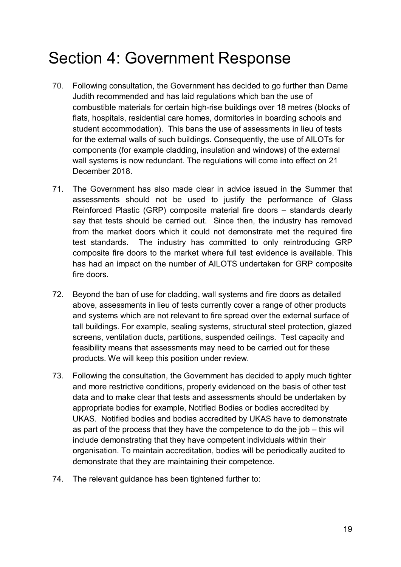# <span id="page-18-0"></span>Section 4: Government Response

- 70. Following consultation, the Government has decided to go further than Dame Judith recommended and has laid regulations which ban the use of combustible materials for certain high-rise buildings over 18 metres (blocks of flats, hospitals, residential care homes, dormitories in boarding schools and student accommodation). This bans the use of assessments in lieu of tests for the external walls of such buildings. Consequently, the use of AILOTs for components (for example cladding, insulation and windows) of the external wall systems is now redundant. The regulations will come into effect on 21 December 2018.
- 71. The Government has also made clear in advice issued in the Summer that assessments should not be used to justify the performance of Glass Reinforced Plastic (GRP) composite material fire doors – standards clearly say that tests should be carried out. Since then, the industry has removed from the market doors which it could not demonstrate met the required fire test standards. The industry has committed to only reintroducing GRP composite fire doors to the market where full test evidence is available. This has had an impact on the number of AILOTS undertaken for GRP composite fire doors.
- 72. Beyond the ban of use for cladding, wall systems and fire doors as detailed above, assessments in lieu of tests currently cover a range of other products and systems which are not relevant to fire spread over the external surface of tall buildings. For example, sealing systems, structural steel protection, glazed screens, ventilation ducts, partitions, suspended ceilings. Test capacity and feasibility means that assessments may need to be carried out for these products. We will keep this position under review.
- 73. Following the consultation, the Government has decided to apply much tighter and more restrictive conditions, properly evidenced on the basis of other test data and to make clear that tests and assessments should be undertaken by appropriate bodies for example, Notified Bodies or bodies accredited by UKAS. Notified bodies and bodies accredited by UKAS have to demonstrate as part of the process that they have the competence to do the job – this will include demonstrating that they have competent individuals within their organisation. To maintain accreditation, bodies will be periodically audited to demonstrate that they are maintaining their competence.
- 74. The relevant guidance has been tightened further to: